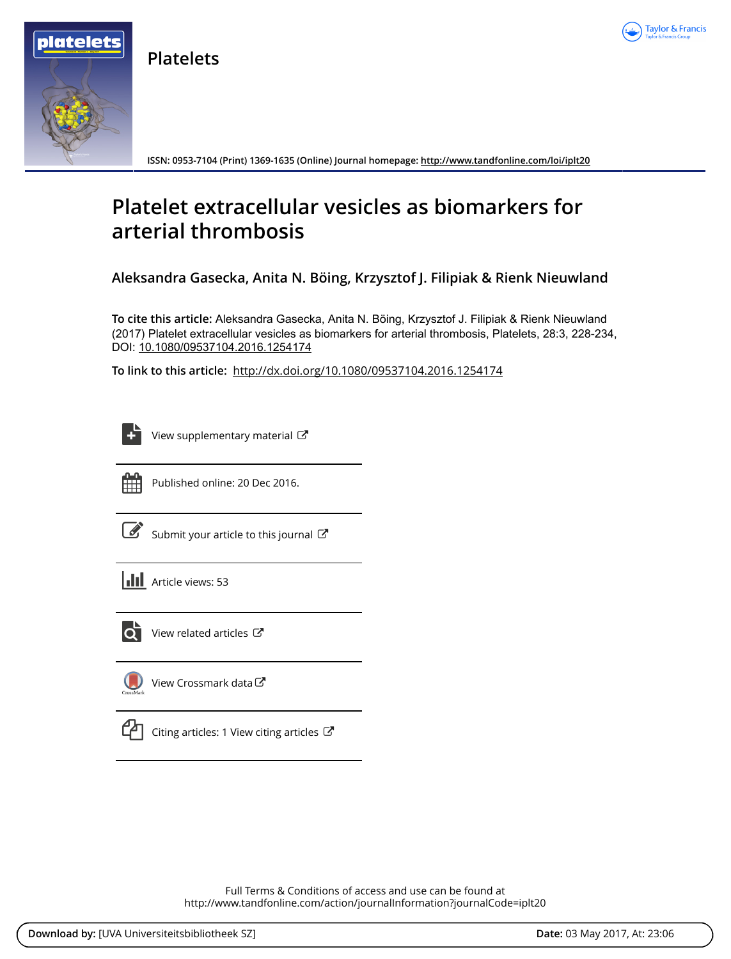

**Platelets**



**ISSN: 0953-7104 (Print) 1369-1635 (Online) Journal homepage:<http://www.tandfonline.com/loi/iplt20>**

# **Platelet extracellular vesicles as biomarkers for arterial thrombosis**

**Aleksandra Gasecka, Anita N. Böing, Krzysztof J. Filipiak & Rienk Nieuwland**

**To cite this article:** Aleksandra Gasecka, Anita N. Böing, Krzysztof J. Filipiak & Rienk Nieuwland (2017) Platelet extracellular vesicles as biomarkers for arterial thrombosis, Platelets, 28:3, 228-234, DOI: [10.1080/09537104.2016.1254174](http://www.tandfonline.com/action/showCitFormats?doi=10.1080/09537104.2016.1254174)

**To link to this article:** <http://dx.doi.org/10.1080/09537104.2016.1254174>

| _____ |
|-------|
|       |
| -     |
|       |

[View supplementary material](http://www.tandfonline.com/doi/suppl/10.1080/09537104.2016.1254174)  $\mathbb{Z}$ 



Published online: 20 Dec 2016.

[Submit your article to this journal](http://www.tandfonline.com/action/authorSubmission?journalCode=iplt20&show=instructions)  $\mathbb{Z}$ 





 $\overline{Q}$  [View related articles](http://www.tandfonline.com/doi/mlt/10.1080/09537104.2016.1254174)  $\mathbb{Z}$ 



[View Crossmark data](http://crossmark.crossref.org/dialog/?doi=10.1080/09537104.2016.1254174&domain=pdf&date_stamp=2016-12-20)



[Citing articles: 1 View citing articles](http://www.tandfonline.com/doi/citedby/10.1080/09537104.2016.1254174#tabModule)  $\mathbb{Z}$ 

Full Terms & Conditions of access and use can be found at <http://www.tandfonline.com/action/journalInformation?journalCode=iplt20>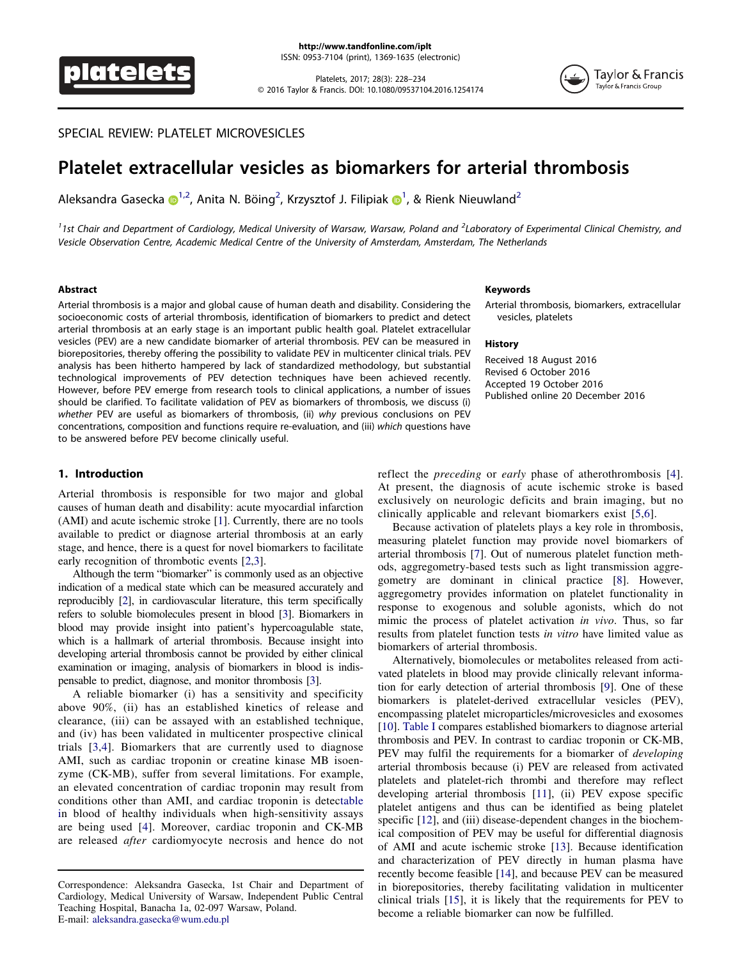

Platelets, 2017; 28(3): 228–234 © 2016 Taylor & Francis. DOI: 10.1080/09537104.2016.1254174



# SPECIAL REVIEW: PLATELET MICROVESICLES

# Platelet extracellular vesicles as biomarkers for arterial thrombosis

Ale[k](http://orcid.org/0000-0002-6563-0877)sandra Gasecka  $\mathbf{C}^{1,2}$  $\mathbf{C}^{1,2}$  $\mathbf{C}^{1,2}$ , Anita N. Böing<sup>2</sup>, Krzysztof J. Filipiak  $\mathbf{C}^{1}$ , & Rienk Nieuwland<sup>2</sup>

<span id="page-1-0"></span><sup>1</sup>1st Chair and Department of Cardiology, Medical University of Warsaw, Warsaw, Poland and <sup>2</sup>Laboratory of Experimental Clinical Chemistry, and Vesicle Observation Centre, Academic Medical Centre of the University of Amsterdam, Amsterdam, The Netherlands

#### Abstract

Arterial thrombosis is a major and global cause of human death and disability. Considering the socioeconomic costs of arterial thrombosis, identification of biomarkers to predict and detect arterial thrombosis at an early stage is an important public health goal. Platelet extracellular vesicles (PEV) are a new candidate biomarker of arterial thrombosis. PEV can be measured in biorepositories, thereby offering the possibility to validate PEV in multicenter clinical trials. PEV analysis has been hitherto hampered by lack of standardized methodology, but substantial technological improvements of PEV detection techniques have been achieved recently. However, before PEV emerge from research tools to clinical applications, a number of issues should be clarified. To facilitate validation of PEV as biomarkers of thrombosis, we discuss (i) whether PEV are useful as biomarkers of thrombosis, (ii) why previous conclusions on PEV concentrations, composition and functions require re-evaluation, and (iii) which questions have to be answered before PEV become clinically useful.

#### 1. Introduction

Arterial thrombosis is responsible for two major and global causes of human death and disability: acute myocardial infarction (AMI) and acute ischemic stroke [[1](#page-5-0)]. Currently, there are no tools available to predict or diagnose arterial thrombosis at an early stage, and hence, there is a quest for novel biomarkers to facilitate early recognition of thrombotic events [[2](#page-5-1),[3](#page-5-2)].

Although the term "biomarker" is commonly used as an objective indication of a medical state which can be measured accurately and reproducibly [\[2\]](#page-5-1), in cardiovascular literature, this term specifically refers to soluble biomolecules present in blood [\[3\]](#page-5-2). Biomarkers in blood may provide insight into patient's hypercoagulable state, which is a hallmark of arterial thrombosis. Because insight into developing arterial thrombosis cannot be provided by either clinical examination or imaging, analysis of biomarkers in blood is indispensable to predict, diagnose, and monitor thrombosis [\[3](#page-5-2)].

A reliable biomarker (i) has a sensitivity and specificity above 90%, (ii) has an established kinetics of release and clearance, (iii) can be assayed with an established technique, and (iv) has been validated in multicenter prospective clinical trials [[3](#page-5-2),[4\]](#page-6-0). Biomarkers that are currently used to diagnose AMI, such as cardiac troponin or creatine kinase MB isoenzyme (CK-MB), suffer from several limitations. For example, an elevated concentration of cardiac troponin may result from conditions other than AMI, and cardiac troponin is detec[table](#page-2-0) [in](#page-2-0) blood of healthy individuals when high-sensitivity assays are being used [[4](#page-6-0)]. Moreover, cardiac troponin and CK-MB are released after cardiomyocyte necrosis and hence do not

#### Keywords

Arterial thrombosis, biomarkers, extracellular vesicles, platelets

#### **History**

Received 18 August 2016 Revised 6 October 2016 Accepted 19 October 2016 Published online 20 December 2016

reflect the preceding or early phase of atherothrombosis [\[4](#page-6-0)]. At present, the diagnosis of acute ischemic stroke is based exclusively on neurologic deficits and brain imaging, but no clinically applicable and relevant biomarkers exist [\[5](#page-6-1),[6\]](#page-6-2).

Because activation of platelets plays a key role in thrombosis, measuring platelet function may provide novel biomarkers of arterial thrombosis [[7](#page-6-3)]. Out of numerous platelet function methods, aggregometry-based tests such as light transmission aggregometry are dominant in clinical practice [\[8\]](#page-6-4). However, aggregometry provides information on platelet functionality in response to exogenous and soluble agonists, which do not mimic the process of platelet activation in vivo. Thus, so far results from platelet function tests in vitro have limited value as biomarkers of arterial thrombosis.

Alternatively, biomolecules or metabolites released from activated platelets in blood may provide clinically relevant information for early detection of arterial thrombosis [[9](#page-6-5)]. One of these biomarkers is platelet-derived extracellular vesicles (PEV), encompassing platelet microparticles/microvesicles and exosomes [\[10\]](#page-6-6). [Table I](#page-2-0) compares established biomarkers to diagnose arterial thrombosis and PEV. In contrast to cardiac troponin or CK-MB, PEV may fulfil the requirements for a biomarker of *developing* arterial thrombosis because (i) PEV are released from activated platelets and platelet-rich thrombi and therefore may reflect developing arterial thrombosis [[11](#page-6-7)], (ii) PEV expose specific platelet antigens and thus can be identified as being platelet specific [\[12\]](#page-6-8), and (iii) disease-dependent changes in the biochemical composition of PEV may be useful for differential diagnosis of AMI and acute ischemic stroke [[13](#page-6-9)]. Because identification and characterization of PEV directly in human plasma have recently become feasible [\[14\]](#page-6-10), and because PEV can be measured in biorepositories, thereby facilitating validation in multicenter clinical trials [[15](#page-6-11)], it is likely that the requirements for PEV to become a reliable biomarker can now be fulfilled.

Correspondence: Aleksandra Gasecka, 1st Chair and Department of Cardiology, Medical University of Warsaw, Independent Public Central Teaching Hospital, Banacha 1a, 02-097 Warsaw, Poland. E-mail: aleksandra.gasecka@wum.edu.pl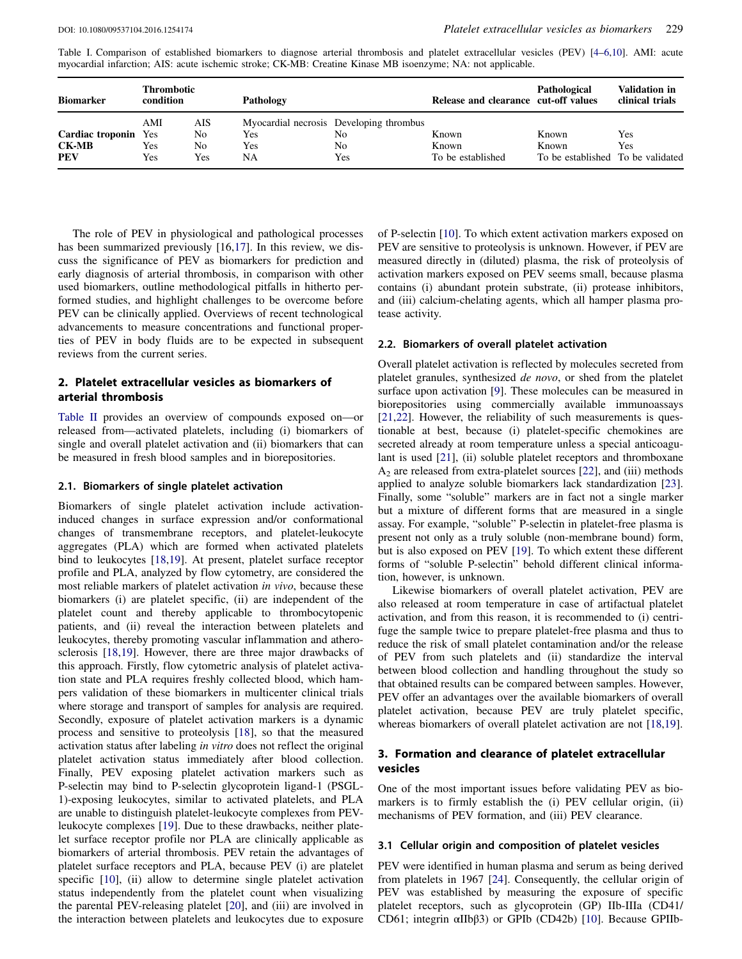<span id="page-2-0"></span>Table I. Comparison of established biomarkers to diagnose arterial thrombosis and platelet extracellular vesicles (PEV) [\[4](#page-6-0)–[6,](#page-6-2)[10](#page-6-6)]. AMI: acute myocardial infarction; AIS: acute ischemic stroke; CK-MB: Creatine Kinase MB isoenzyme; NA: not applicable.

| <b>Biomarker</b>                                          | Thrombotic<br>condition |                        | <b>Pathology</b> |                                                            | Release and clearance cut-off values | Pathological                                        | <b>Validation in</b><br>clinical trials |
|-----------------------------------------------------------|-------------------------|------------------------|------------------|------------------------------------------------------------|--------------------------------------|-----------------------------------------------------|-----------------------------------------|
| <b>Cardiac troponin</b> Yes<br><b>CK-MB</b><br><b>PEV</b> | AMI<br>Yes<br>Yes       | AIS<br>No<br>No<br>Yes | Yes<br>Yes<br>NA | Myocardial necrosis Developing thrombus<br>No<br>No<br>Yes | Known<br>Known<br>To be established  | Known<br>Known<br>To be established To be validated | Yes<br>Yes                              |

The role of PEV in physiological and pathological processes has been summarized previously [16,[17](#page-6-12)]. In this review, we discuss the significance of PEV as biomarkers for prediction and early diagnosis of arterial thrombosis, in comparison with other used biomarkers, outline methodological pitfalls in hitherto performed studies, and highlight challenges to be overcome before PEV can be clinically applied. Overviews of recent technological advancements to measure concentrations and functional properties of PEV in body fluids are to be expected in subsequent reviews from the current series.

### 2. Platelet extracellular vesicles as biomarkers of arterial thrombosis

[Table II](#page-3-0) provides an overview of compounds exposed on—or released from—activated platelets, including (i) biomarkers of single and overall platelet activation and (ii) biomarkers that can be measured in fresh blood samples and in biorepositories.

# 2.1. Biomarkers of single platelet activation

Biomarkers of single platelet activation include activationinduced changes in surface expression and/or conformational changes of transmembrane receptors, and platelet-leukocyte aggregates (PLA) which are formed when activated platelets bind to leukocytes [[18](#page-6-13),[19](#page-6-14)]. At present, platelet surface receptor profile and PLA, analyzed by flow cytometry, are considered the most reliable markers of platelet activation in vivo, because these biomarkers (i) are platelet specific, (ii) are independent of the platelet count and thereby applicable to thrombocytopenic patients, and (ii) reveal the interaction between platelets and leukocytes, thereby promoting vascular inflammation and atherosclerosis [\[18,](#page-6-13)[19](#page-6-14)]. However, there are three major drawbacks of this approach. Firstly, flow cytometric analysis of platelet activation state and PLA requires freshly collected blood, which hampers validation of these biomarkers in multicenter clinical trials where storage and transport of samples for analysis are required. Secondly, exposure of platelet activation markers is a dynamic process and sensitive to proteolysis [[18](#page-6-13)], so that the measured activation status after labeling in vitro does not reflect the original platelet activation status immediately after blood collection. Finally, PEV exposing platelet activation markers such as P-selectin may bind to P-selectin glycoprotein ligand-1 (PSGL-1)-exposing leukocytes, similar to activated platelets, and PLA are unable to distinguish platelet-leukocyte complexes from PEVleukocyte complexes [[19](#page-6-14)]. Due to these drawbacks, neither platelet surface receptor profile nor PLA are clinically applicable as biomarkers of arterial thrombosis. PEV retain the advantages of platelet surface receptors and PLA, because PEV (i) are platelet specific [[10](#page-6-6)], (ii) allow to determine single platelet activation status independently from the platelet count when visualizing the parental PEV-releasing platelet [\[20\]](#page-6-15), and (iii) are involved in the interaction between platelets and leukocytes due to exposure

of P-selectin [[10](#page-6-6)]. To which extent activation markers exposed on PEV are sensitive to proteolysis is unknown. However, if PEV are measured directly in (diluted) plasma, the risk of proteolysis of activation markers exposed on PEV seems small, because plasma contains (i) abundant protein substrate, (ii) protease inhibitors, and (iii) calcium-chelating agents, which all hamper plasma protease activity.

#### 2.2. Biomarkers of overall platelet activation

Overall platelet activation is reflected by molecules secreted from platelet granules, synthesized de novo, or shed from the platelet surface upon activation [\[9\]](#page-6-5). These molecules can be measured in biorepositories using commercially available immunoassays [\[21,](#page-6-16)[22\]](#page-6-17). However, the reliability of such measurements is questionable at best, because (i) platelet-specific chemokines are secreted already at room temperature unless a special anticoagulant is used [\[21\]](#page-6-16), (ii) soluble platelet receptors and thromboxane A2 are released from extra-platelet sources [[22](#page-6-17)], and (iii) methods applied to analyze soluble biomarkers lack standardization [[23](#page-6-18)]. Finally, some "soluble" markers are in fact not a single marker but a mixture of different forms that are measured in a single assay. For example, "soluble" P-selectin in platelet-free plasma is present not only as a truly soluble (non-membrane bound) form, but is also exposed on PEV [[19](#page-6-14)]. To which extent these different forms of "soluble P-selectin" behold different clinical information, however, is unknown.

Likewise biomarkers of overall platelet activation, PEV are also released at room temperature in case of artifactual platelet activation, and from this reason, it is recommended to (i) centrifuge the sample twice to prepare platelet-free plasma and thus to reduce the risk of small platelet contamination and/or the release of PEV from such platelets and (ii) standardize the interval between blood collection and handling throughout the study so that obtained results can be compared between samples. However, PEV offer an advantages over the available biomarkers of overall platelet activation, because PEV are truly platelet specific, whereas biomarkers of overall platelet activation are not [[18](#page-6-13),[19](#page-6-14)].

# 3. Formation and clearance of platelet extracellular vesicles

One of the most important issues before validating PEV as biomarkers is to firmly establish the (i) PEV cellular origin, (ii) mechanisms of PEV formation, and (iii) PEV clearance.

#### 3.1 Cellular origin and composition of platelet vesicles

PEV were identified in human plasma and serum as being derived from platelets in 1967 [\[24\]](#page-6-19). Consequently, the cellular origin of PEV was established by measuring the exposure of specific platelet receptors, such as glycoprotein (GP) IIb-IIIa (CD41/ CD61; integrin αIIbβ3) or GPIb (CD42b) [\[10\]](#page-6-6). Because GPIIb-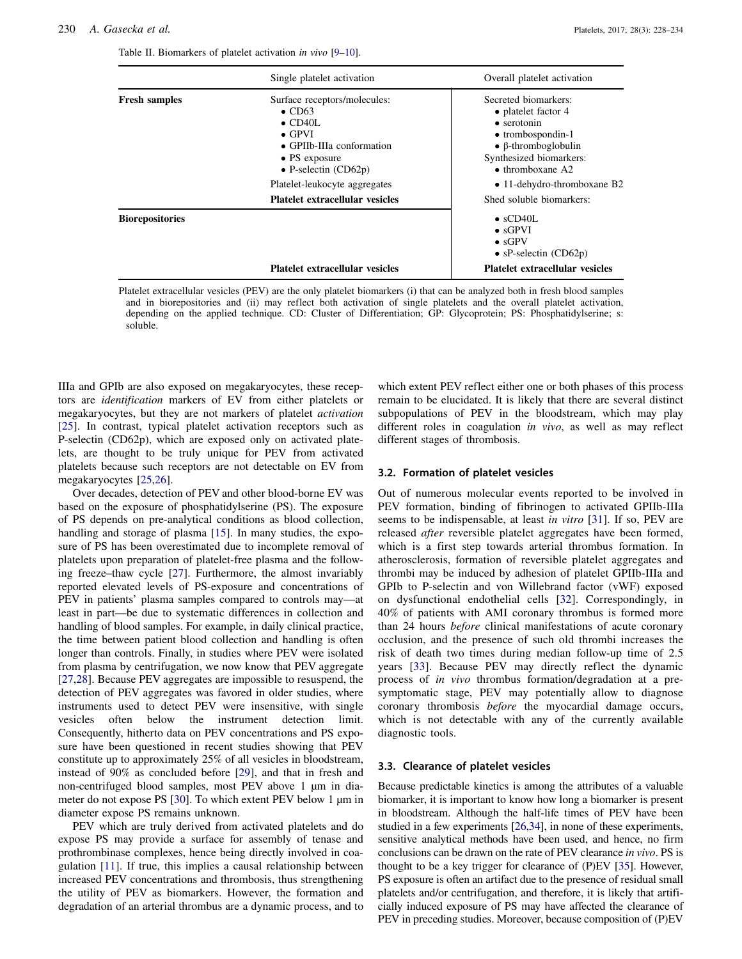|                        | Single platelet activation                                                                                                                                                                                         | Overall platelet activation                                                                                                                                                                                          |  |  |
|------------------------|--------------------------------------------------------------------------------------------------------------------------------------------------------------------------------------------------------------------|----------------------------------------------------------------------------------------------------------------------------------------------------------------------------------------------------------------------|--|--|
| <b>Fresh samples</b>   | Surface receptors/molecules:<br>$\bullet$ CD63<br>$\bullet$ CD40L<br>$\bullet$ GPVI<br>$\bullet$ GPIIb-IIIa conformation<br>$\bullet$ PS exposure<br>$\bullet$ P-selectin (CD62p)<br>Platelet-leukocyte aggregates | Secreted biomarkers:<br>• platelet factor 4<br>$\bullet$ serotonin<br>$\bullet$ trombospondin-1<br>$\bullet$ β-thromboglobulin<br>Synthesized biomarkers:<br>$\bullet$ thromboxane A2<br>• 11-dehydro-thromboxane B2 |  |  |
|                        | <b>Platelet extracellular vesicles</b>                                                                                                                                                                             | Shed soluble biomarkers:                                                                                                                                                                                             |  |  |
| <b>Biorepositories</b> | <b>Platelet extracellular vesicles</b>                                                                                                                                                                             | $\bullet$ sCD40L<br>$\bullet$ sGPVI<br>$\bullet$ sGPV<br>• $sP\text{-selection (CD62p)}$<br><b>Platelet extracellular vesicles</b>                                                                                   |  |  |

<span id="page-3-0"></span>Table II. Biomarkers of platelet activation in vivo [[9](#page-6-5)–[10\]](#page-6-6).

Platelet extracellular vesicles (PEV) are the only platelet biomarkers (i) that can be analyzed both in fresh blood samples and in biorepositories and (ii) may reflect both activation of single platelets and the overall platelet activation, depending on the applied technique. CD: Cluster of Differentiation; GP: Glycoprotein; PS: Phosphatidylserine; s: soluble.

IIIa and GPIb are also exposed on megakaryocytes, these receptors are identification markers of EV from either platelets or megakaryocytes, but they are not markers of platelet activation [\[25\]](#page-6-20). In contrast, typical platelet activation receptors such as P-selectin (CD62p), which are exposed only on activated platelets, are thought to be truly unique for PEV from activated platelets because such receptors are not detectable on EV from megakaryocytes [\[25,](#page-6-20)[26](#page-6-21)].

Over decades, detection of PEV and other blood-borne EV was based on the exposure of phosphatidylserine (PS). The exposure of PS depends on pre-analytical conditions as blood collection, handling and storage of plasma [\[15\]](#page-6-11). In many studies, the exposure of PS has been overestimated due to incomplete removal of platelets upon preparation of platelet-free plasma and the following freeze–thaw cycle [\[27\]](#page-6-22). Furthermore, the almost invariably reported elevated levels of PS-exposure and concentrations of PEV in patients' plasma samples compared to controls may—at least in part—be due to systematic differences in collection and handling of blood samples. For example, in daily clinical practice, the time between patient blood collection and handling is often longer than controls. Finally, in studies where PEV were isolated from plasma by centrifugation, we now know that PEV aggregate [\[27,](#page-6-22)[28\]](#page-6-23). Because PEV aggregates are impossible to resuspend, the detection of PEV aggregates was favored in older studies, where instruments used to detect PEV were insensitive, with single vesicles often below the instrument detection limit. Consequently, hitherto data on PEV concentrations and PS exposure have been questioned in recent studies showing that PEV constitute up to approximately 25% of all vesicles in bloodstream, instead of 90% as concluded before [\[29\]](#page-6-24), and that in fresh and non-centrifuged blood samples, most PEV above 1 µm in dia-meter do not expose PS [[30](#page-6-25)]. To which extent PEV below 1  $\mu$ m in diameter expose PS remains unknown.

PEV which are truly derived from activated platelets and do expose PS may provide a surface for assembly of tenase and prothrombinase complexes, hence being directly involved in coagulation [[11](#page-6-7)]. If true, this implies a causal relationship between increased PEV concentrations and thrombosis, thus strengthening the utility of PEV as biomarkers. However, the formation and degradation of an arterial thrombus are a dynamic process, and to

which extent PEV reflect either one or both phases of this process remain to be elucidated. It is likely that there are several distinct subpopulations of PEV in the bloodstream, which may play different roles in coagulation in vivo, as well as may reflect different stages of thrombosis.

#### 3.2. Formation of platelet vesicles

Out of numerous molecular events reported to be involved in PEV formation, binding of fibrinogen to activated GPIIb-IIIa seems to be indispensable, at least in vitro [\[31](#page-6-26)]. If so, PEV are released *after* reversible platelet aggregates have been formed, which is a first step towards arterial thrombus formation. In atherosclerosis, formation of reversible platelet aggregates and thrombi may be induced by adhesion of platelet GPIIb-IIIa and GPIb to P-selectin and von Willebrand factor (vWF) exposed on dysfunctional endothelial cells [\[32\]](#page-6-27). Correspondingly, in 40% of patients with AMI coronary thrombus is formed more than 24 hours before clinical manifestations of acute coronary occlusion, and the presence of such old thrombi increases the risk of death two times during median follow-up time of 2.5 years [\[33](#page-6-28)]. Because PEV may directly reflect the dynamic process of in vivo thrombus formation/degradation at a presymptomatic stage, PEV may potentially allow to diagnose coronary thrombosis before the myocardial damage occurs, which is not detectable with any of the currently available diagnostic tools.

#### 3.3. Clearance of platelet vesicles

Because predictable kinetics is among the attributes of a valuable biomarker, it is important to know how long a biomarker is present in bloodstream. Although the half-life times of PEV have been studied in a few experiments [\[26](#page-6-21),[34\]](#page-6-29), in none of these experiments, sensitive analytical methods have been used, and hence, no firm conclusions can be drawn on the rate of PEV clearance in vivo. PS is thought to be a key trigger for clearance of (P)EV [\[35\]](#page-6-30). However, PS exposure is often an artifact due to the presence of residual small platelets and/or centrifugation, and therefore, it is likely that artificially induced exposure of PS may have affected the clearance of PEV in preceding studies. Moreover, because composition of (P)EV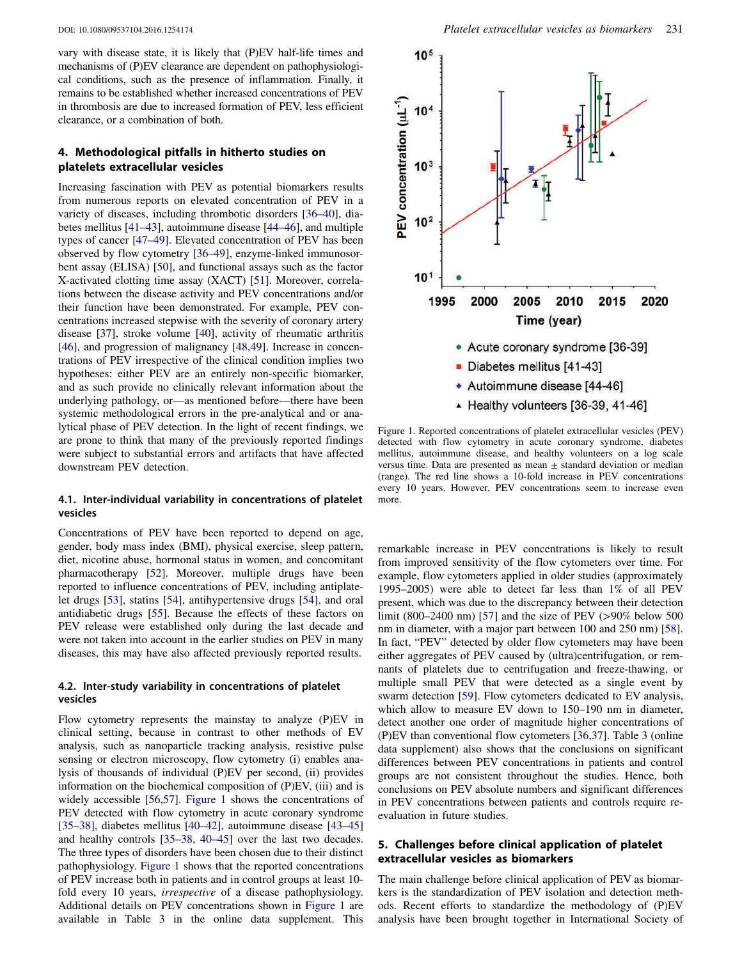vary with disease state, it is likely that (P)EV half-life times and mechanisms of (P)EV clearance are dependent on pathophysiological conditions, such as the presence of inflammation. Finally, it remains to be established whether increased concentrations of PEV in thrombosis are due to increased formation of PEV, less efficient clearance, or a combination of both.

# 4. Methodological pitfalls in hitherto studies on platelets extracellular vesicles

Increasing fascination with PEV as potential biomarkers results from numerous reports on elevated concentration of PEV in a variety of diseases, including thrombotic disorders [\[36](#page-6-31)–[40](#page-6-32)], diabetes mellitus [\[41](#page-6-33)–[43\]](#page-6-34), autoimmune disease [[44](#page-6-35)–[46](#page-7-0)], and multiple types of cancer [\[47](#page-7-1)–[49](#page-7-2)]. Elevated concentration of PEV has been observed by flow cytometry [\[36](#page-6-31)–[49](#page-7-2)], enzyme-linked immunosorbent assay (ELISA) [[50](#page-7-3)], and functional assays such as the factor X-activated clotting time assay (XACT) [\[51](#page-7-4)]. Moreover, correlations between the disease activity and PEV concentrations and/or their function have been demonstrated. For example, PEV concentrations increased stepwise with the severity of coronary artery disease [[37](#page-6-36)], stroke volume [\[40](#page-6-32)], activity of rheumatic arthritis [\[46\]](#page-7-0), and progression of malignancy [[48](#page-7-5),[49](#page-7-2)]. Increase in concentrations of PEV irrespective of the clinical condition implies two hypotheses: either PEV are an entirely non-specific biomarker, and as such provide no clinically relevant information about the underlying pathology, or—as mentioned before—there have been systemic methodological errors in the pre-analytical and or analytical phase of PEV detection. In the light of recent findings, we are prone to think that many of the previously reported findings were subject to substantial errors and artifacts that have affected downstream PEV detection.

#### 4.1. Inter-individual variability in concentrations of platelet vesicles

Concentrations of PEV have been reported to depend on age, gender, body mass index (BMI), physical exercise, sleep pattern, diet, nicotine abuse, hormonal status in women, and concomitant pharmacotherapy [[52](#page-7-6)]. Moreover, multiple drugs have been reported to influence concentrations of PEV, including antiplatelet drugs [[53](#page-7-7)], statins [[54](#page-7-8)], antihypertensive drugs [[54](#page-7-8)], and oral antidiabetic drugs [\[55\]](#page-7-9). Because the effects of these factors on PEV release were established only during the last decade and were not taken into account in the earlier studies on PEV in many diseases, this may have also affected previously reported results.

#### 4.2. Inter-study variability in concentrations of platelet vesicles

Flow cytometry represents the mainstay to analyze (P)EV in clinical setting, because in contrast to other methods of EV analysis, such as nanoparticle tracking analysis, resistive pulse sensing or electron microscopy, flow cytometry (i) enables analysis of thousands of individual (P)EV per second, (ii) provides information on the biochemical composition of (P)EV, (iii) and is widely accessible [[56](#page-7-10),[57](#page-7-11)]. [Figure 1](#page-4-0) shows the concentrations of PEV detected with flow cytometry in acute coronary syndrome [\[35](#page-6-30)–[38\]](#page-6-37), diabetes mellitus [[40](#page-6-32)–[42](#page-6-38)], autoimmune disease [\[43](#page-6-34)–[45\]](#page-7-12) and healthy controls [\[35](#page-6-30)–[38](#page-6-37), [40](#page-6-32)–[45](#page-7-12)] over the last two decades. The three types of disorders have been chosen due to their distinct pathophysiology. [Figure 1](#page-4-0) shows that the reported concentrations of PEV increase both in patients and in control groups at least 10 fold every 10 years, irrespective of a disease pathophysiology. Additional details on PEV concentrations shown in [Figure 1](#page-4-0) are available in Table 3 in the online data supplement. This



<span id="page-4-0"></span>Figure 1. Reported concentrations of platelet extracellular vesicles (PEV) detected with flow cytometry in acute coronary syndrome, diabetes mellitus, autoimmune disease, and healthy volunteers on a log scale versus time. Data are presented as mean  $\pm$  standard deviation or median (range). The red line shows a 10-fold increase in PEV concentrations every 10 years. However, PEV concentrations seem to increase even more.

remarkable increase in PEV concentrations is likely to result from improved sensitivity of the flow cytometers over time. For example, flow cytometers applied in older studies (approximately 1995–2005) were able to detect far less than 1% of all PEV present, which was due to the discrepancy between their detection limit (800–2400 nm) [\[57\]](#page-7-11) and the size of PEV (>90% below 500 nm in diameter, with a major part between 100 and 250 nm) [[58](#page-7-13)]. In fact, "PEV" detected by older flow cytometers may have been either aggregates of PEV caused by (ultra)centrifugation, or remnants of platelets due to centrifugation and freeze-thawing, or multiple small PEV that were detected as a single event by swarm detection [\[59\]](#page-7-14). Flow cytometers dedicated to EV analysis, which allow to measure EV down to 150–190 nm in diameter, detect another one order of magnitude higher concentrations of (P)EV than conventional flow cytometers [\[36](#page-6-31)[,37\]](#page-6-36). Table 3 (online data supplement) also shows that the conclusions on significant differences between PEV concentrations in patients and control groups are not consistent throughout the studies. Hence, both conclusions on PEV absolute numbers and significant differences in PEV concentrations between patients and controls require reevaluation in future studies.

# 5. Challenges before clinical application of platelet extracellular vesicles as biomarkers

The main challenge before clinical application of PEV as biomarkers is the standardization of PEV isolation and detection methods. Recent efforts to standardize the methodology of (P)EV analysis have been brought together in International Society of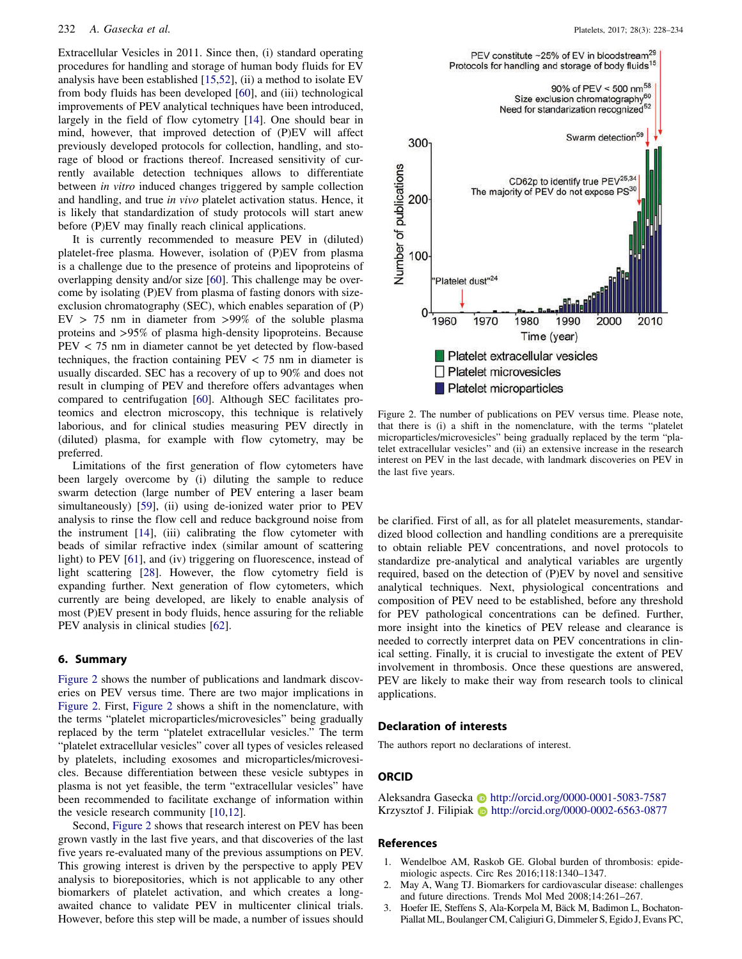Extracellular Vesicles in 2011. Since then, (i) standard operating procedures for handling and storage of human body fluids for EV analysis have been established [[15,](#page-6-11)[52](#page-7-6)], (ii) a method to isolate EV from body fluids has been developed [\[60\]](#page-7-15), and (iii) technological improvements of PEV analytical techniques have been introduced, largely in the field of flow cytometry [[14](#page-6-10)]. One should bear in mind, however, that improved detection of (P)EV will affect previously developed protocols for collection, handling, and storage of blood or fractions thereof. Increased sensitivity of currently available detection techniques allows to differentiate between in vitro induced changes triggered by sample collection and handling, and true in vivo platelet activation status. Hence, it is likely that standardization of study protocols will start anew before (P)EV may finally reach clinical applications.

It is currently recommended to measure PEV in (diluted) platelet-free plasma. However, isolation of (P)EV from plasma is a challenge due to the presence of proteins and lipoproteins of overlapping density and/or size [[60](#page-7-15)]. This challenge may be overcome by isolating (P)EV from plasma of fasting donors with sizeexclusion chromatography (SEC), which enables separation of (P)  $EV > 75$  nm in diameter from  $>99\%$  of the soluble plasma proteins and >95% of plasma high-density lipoproteins. Because PEV < 75 nm in diameter cannot be yet detected by flow-based techniques, the fraction containing  $PEV < 75$  nm in diameter is usually discarded. SEC has a recovery of up to 90% and does not result in clumping of PEV and therefore offers advantages when compared to centrifugation [\[60\]](#page-7-15). Although SEC facilitates proteomics and electron microscopy, this technique is relatively laborious, and for clinical studies measuring PEV directly in (diluted) plasma, for example with flow cytometry, may be preferred.

Limitations of the first generation of flow cytometers have been largely overcome by (i) diluting the sample to reduce swarm detection (large number of PEV entering a laser beam simultaneously) [\[59\]](#page-7-14), (ii) using de-ionized water prior to PEV analysis to rinse the flow cell and reduce background noise from the instrument [\[14\]](#page-6-10), (iii) calibrating the flow cytometer with beads of similar refractive index (similar amount of scattering light) to PEV [\[61\]](#page-7-16), and (iv) triggering on fluorescence, instead of light scattering [\[28\]](#page-6-23). However, the flow cytometry field is expanding further. Next generation of flow cytometers, which currently are being developed, are likely to enable analysis of most (P)EV present in body fluids, hence assuring for the reliable PEV analysis in clinical studies [\[62\]](#page-7-17).

# 6. Summary

[Figure 2](#page-5-3) shows the number of publications and landmark discoveries on PEV versus time. There are two major implications in [Figure 2.](#page-5-3) First, [Figure 2](#page-5-3) shows a shift in the nomenclature, with the terms "platelet microparticles/microvesicles" being gradually replaced by the term "platelet extracellular vesicles." The term "platelet extracellular vesicles" cover all types of vesicles released by platelets, including exosomes and microparticles/microvesicles. Because differentiation between these vesicle subtypes in plasma is not yet feasible, the term "extracellular vesicles" have been recommended to facilitate exchange of information within the vesicle research community [\[10,](#page-6-6)[12\]](#page-6-8).

Second, [Figure 2](#page-5-3) shows that research interest on PEV has been grown vastly in the last five years, and that discoveries of the last five years re-evaluated many of the previous assumptions on PEV. This growing interest is driven by the perspective to apply PEV analysis to biorepositories, which is not applicable to any other biomarkers of platelet activation, and which creates a longawaited chance to validate PEV in multicenter clinical trials. However, before this step will be made, a number of issues should



<span id="page-5-3"></span>Figure 2. The number of publications on PEV versus time. Please note, that there is (i) a shift in the nomenclature, with the terms "platelet microparticles/microvesicles" being gradually replaced by the term "platelet extracellular vesicles" and (ii) an extensive increase in the research interest on PEV in the last decade, with landmark discoveries on PEV in the last five years.

be clarified. First of all, as for all platelet measurements, standardized blood collection and handling conditions are a prerequisite to obtain reliable PEV concentrations, and novel protocols to standardize pre-analytical and analytical variables are urgently required, based on the detection of (P)EV by novel and sensitive analytical techniques. Next, physiological concentrations and composition of PEV need to be established, before any threshold for PEV pathological concentrations can be defined. Further, more insight into the kinetics of PEV release and clearance is needed to correctly interpret data on PEV concentrations in clinical setting. Finally, it is crucial to investigate the extent of PEV involvement in thrombosis. Once these questions are answered, PEV are likely to make their way from research tools to clinical applications.

#### Declaration of interests

The authors report no declarations of interest.

#### **ORCID**

Aleksandra Gasecka **http://orcid.org/0000-0001-5083-7587** Krzysztof J. Filipiak **http://orcid.org/0000-0002-6563-0877** 

#### References

- <span id="page-5-0"></span>1. Wendelboe AM, Raskob GE. Global burden of thrombosis: epidemiologic aspects. Circ Res 2016;118:1340–1347.
- <span id="page-5-1"></span>2. May A, Wang TJ. Biomarkers for cardiovascular disease: challenges and future directions. Trends Mol Med 2008;14:261–267.
- <span id="page-5-2"></span>3. Hoefer IE, Steffens S, Ala-Korpela M, Bäck M, Badimon L, Bochaton-Piallat ML, Boulanger CM, Caligiuri G, Dimmeler S, Egido J, Evans PC,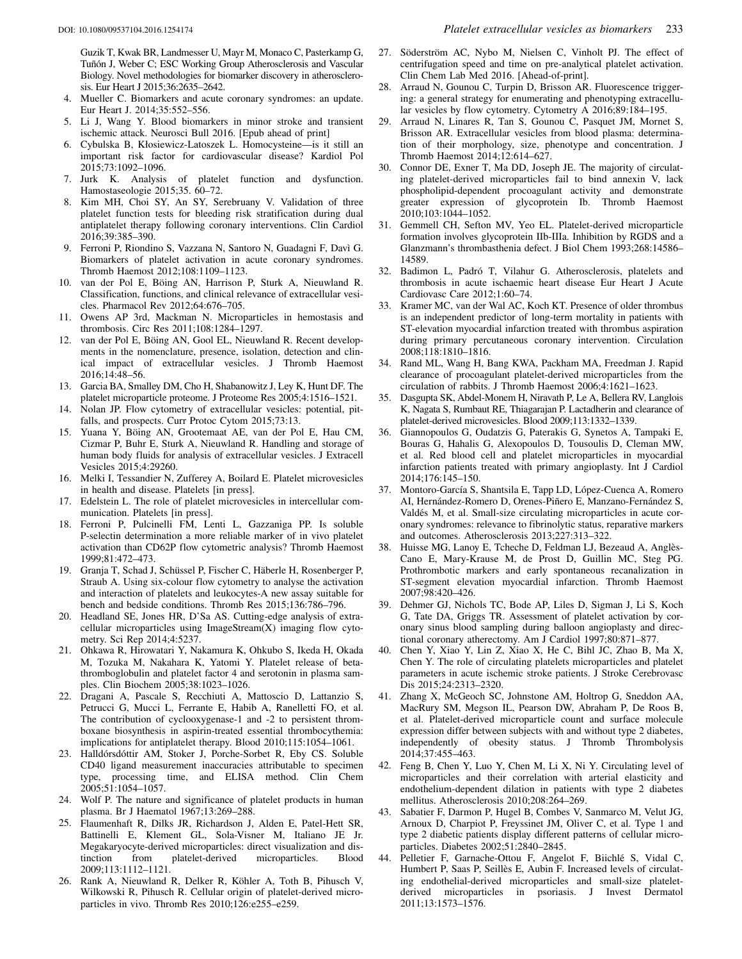Guzik T, Kwak BR, Landmesser U, Mayr M, Monaco C, Pasterkamp G, Tuñón J, Weber C; ESC Working Group Atherosclerosis and Vascular Biology. Novel methodologies for biomarker discovery in atherosclerosis. Eur Heart J 2015;36:2635–2642.

- <span id="page-6-0"></span>4. Mueller C. Biomarkers and acute coronary syndromes: an update. Eur Heart J. 2014;35:552–556.
- <span id="page-6-1"></span>5. Li J, Wang Y. Blood biomarkers in minor stroke and transient ischemic attack. Neurosci Bull 2016. [Epub ahead of print]
- <span id="page-6-2"></span>6. Cybulska B, Kłosiewicz-Latoszek L. Homocysteine—is it still an important risk factor for cardiovascular disease? Kardiol Pol 2015;73:1092–1096.
- <span id="page-6-3"></span>7. Jurk K. Analysis of platelet function and dysfunction. Hamostaseologie 2015;35. 60–72.
- <span id="page-6-4"></span>8. Kim MH, Choi SY, An SY, Serebruany V. Validation of three platelet function tests for bleeding risk stratification during dual antiplatelet therapy following coronary interventions. Clin Cardiol 2016;39:385–390.
- <span id="page-6-5"></span>9. Ferroni P, Riondino S, Vazzana N, Santoro N, Guadagni F, Davì G. Biomarkers of platelet activation in acute coronary syndromes. Thromb Haemost 2012;108:1109–1123.
- <span id="page-6-6"></span>10. van der Pol E, Böing AN, Harrison P, Sturk A, Nieuwland R. Classification, functions, and clinical relevance of extracellular vesicles. Pharmacol Rev 2012;64:676–705.
- <span id="page-6-7"></span>11. Owens AP 3rd, Mackman N. Microparticles in hemostasis and thrombosis. Circ Res 2011;108:1284–1297.
- <span id="page-6-8"></span>12. van der Pol E, Böing AN, Gool EL, Nieuwland R. Recent developments in the nomenclature, presence, isolation, detection and clinical impact of extracellular vesicles. J Thromb Haemost 2016;14:48–56.
- <span id="page-6-9"></span>13. Garcia BA, Smalley DM, Cho H, Shabanowitz J, Ley K, Hunt DF. The platelet microparticle proteome. J Proteome Res 2005;4:1516–1521.
- <span id="page-6-10"></span>14. Nolan JP. Flow cytometry of extracellular vesicles: potential, pitfalls, and prospects. Curr Protoc Cytom 2015;73:13.
- <span id="page-6-11"></span>15. Yuana Y, Böing AN, Grootemaat AE, van der Pol E, Hau CM, Cizmar P, Buhr E, Sturk A, Nieuwland R. Handling and storage of human body fluids for analysis of extracellular vesicles. J Extracell Vesicles 2015;4:29260.
- 16. Melki I, Tessandier N, Zufferey A, Boilard E. Platelet microvesicles in health and disease. Platelets [in press].
- <span id="page-6-12"></span>17. Edelstein L. The role of platelet microvesicles in intercellular communication. Platelets [in press].
- <span id="page-6-13"></span>18. Ferroni P, Pulcinelli FM, Lenti L, Gazzaniga PP. Is soluble P-selectin determination a more reliable marker of in vivo platelet activation than CD62P flow cytometric analysis? Thromb Haemost 1999;81:472–473.
- <span id="page-6-14"></span>19. Granja T, Schad J, Schüssel P, Fischer C, Häberle H, Rosenberger P, Straub A. Using six-colour flow cytometry to analyse the activation and interaction of platelets and leukocytes-A new assay suitable for bench and bedside conditions. Thromb Res 2015;136:786–796.
- <span id="page-6-15"></span>20. Headland SE, Jones HR, D'Sa AS. Cutting-edge analysis of extracellular microparticles using ImageStream(X) imaging flow cytometry. Sci Rep 2014;4:5237.
- <span id="page-6-16"></span>21. Ohkawa R, Hirowatari Y, Nakamura K, Ohkubo S, Ikeda H, Okada M, Tozuka M, Nakahara K, Yatomi Y. Platelet release of betathromboglobulin and platelet factor 4 and serotonin in plasma samples. Clin Biochem 2005;38:1023–1026.
- <span id="page-6-17"></span>22. Dragani A, Pascale S, Recchiuti A, Mattoscio D, Lattanzio S, Petrucci G, Mucci L, Ferrante E, Habib A, Ranelletti FO, et al. The contribution of cyclooxygenase-1 and -2 to persistent thromboxane biosynthesis in aspirin-treated essential thrombocythemia: implications for antiplatelet therapy. Blood 2010;115:1054–1061.
- <span id="page-6-18"></span>23. Halldórsdóttir AM, Stoker J, Porche-Sorbet R, Eby CS. Soluble CD40 ligand measurement inaccuracies attributable to specimen type, processing time, and ELISA method. Clin Chem 2005;51:1054–1057.
- <span id="page-6-19"></span>24. Wolf P. The nature and significance of platelet products in human plasma. Br J Haematol 1967;13:269–288.
- <span id="page-6-20"></span>25. Flaumenhaft R, Dilks JR, Richardson J, Alden E, Patel-Hett SR, Battinelli E, Klement GL, Sola-Visner M, Italiano JE Jr. Megakaryocyte-derived microparticles: direct visualization and distinction from platelet-derived microparticles. Blood 2009;113:1112–1121.
- <span id="page-6-21"></span>26. Rank A, Nieuwland R, Delker R, Köhler A, Toth B, Pihusch V, Wilkowski R, Pihusch R. Cellular origin of platelet-derived microparticles in vivo. Thromb Res 2010;126:e255–e259.
- <span id="page-6-22"></span>27. Söderström AC, Nybo M, Nielsen C, Vinholt PJ. The effect of centrifugation speed and time on pre-analytical platelet activation. Clin Chem Lab Med 2016. [Ahead-of-print].
- <span id="page-6-23"></span>28. Arraud N, Gounou C, Turpin D, Brisson AR. Fluorescence triggering: a general strategy for enumerating and phenotyping extracellular vesicles by flow cytometry. Cytometry A 2016;89:184–195.
- <span id="page-6-24"></span>29. Arraud N, Linares R, Tan S, Gounou C, Pasquet JM, Mornet S, Brisson AR. Extracellular vesicles from blood plasma: determination of their morphology, size, phenotype and concentration. J Thromb Haemost 2014;12:614–627.
- <span id="page-6-25"></span>30. Connor DE, Exner T, Ma DD, Joseph JE. The majority of circulating platelet-derived microparticles fail to bind annexin V, lack phospholipid-dependent procoagulant activity and demonstrate greater expression of glycoprotein Ib. Thromb Haemost 2010;103:1044–1052.
- <span id="page-6-26"></span>31. Gemmell CH, Sefton MV, Yeo EL. Platelet-derived microparticle formation involves glycoprotein IIb-IIIa. Inhibition by RGDS and a Glanzmann's thrombasthenia defect. J Biol Chem 1993;268:14586– 14589.
- <span id="page-6-27"></span>32. Badimon L, Padró T, Vilahur G. Atherosclerosis, platelets and thrombosis in acute ischaemic heart disease Eur Heart J Acute Cardiovasc Care 2012;1:60–74.
- <span id="page-6-28"></span>33. Kramer MC, van der Wal AC, Koch KT. Presence of older thrombus is an independent predictor of long-term mortality in patients with ST-elevation myocardial infarction treated with thrombus aspiration during primary percutaneous coronary intervention. Circulation 2008;118:1810–1816.
- <span id="page-6-29"></span>34. Rand ML, Wang H, Bang KWA, Packham MA, Freedman J. Rapid clearance of procoagulant platelet-derived microparticles from the circulation of rabbits. J Thromb Haemost 2006;4:1621–1623.
- <span id="page-6-30"></span>35. Dasgupta SK, Abdel-Monem H, Niravath P, Le A, Bellera RV, Langlois K, Nagata S, Rumbaut RE, Thiagarajan P. Lactadherin and clearance of platelet-derived microvesicles. Blood 2009;113:1332–1339.
- <span id="page-6-31"></span>36. Giannopoulos G, Oudatzis G, Paterakis G, Synetos A, Tampaki E, Bouras G, Hahalis G, Alexopoulos D, Tousoulis D, Cleman MW, et al. Red blood cell and platelet microparticles in myocardial infarction patients treated with primary angioplasty. Int J Cardiol 2014;176:145–150.
- <span id="page-6-36"></span>37. Montoro-García S, Shantsila E, Tapp LD, López-Cuenca A, Romero AI, Hernández-Romero D, Orenes-Piñero E, Manzano-Fernández S, Valdés M, et al. Small-size circulating microparticles in acute coronary syndromes: relevance to fibrinolytic status, reparative markers and outcomes. Atherosclerosis 2013;227:313–322.
- <span id="page-6-37"></span>38. Huisse MG, Lanoy E, Tcheche D, Feldman LJ, Bezeaud A, Anglès-Cano E, Mary-Krause M, de Prost D, Guillin MC, Steg PG. Prothrombotic markers and early spontaneous recanalization in ST-segment elevation myocardial infarction. Thromb Haemost 2007;98:420–426.
- 39. Dehmer GJ, Nichols TC, Bode AP, Liles D, Sigman J, Li S, Koch G, Tate DA, Griggs TR. Assessment of platelet activation by coronary sinus blood sampling during balloon angioplasty and directional coronary atherectomy. Am J Cardiol 1997;80:871–877.
- <span id="page-6-32"></span>40. Chen Y, Xiao Y, Lin Z, Xiao X, He C, Bihl JC, Zhao B, Ma X, Chen Y. The role of circulating platelets microparticles and platelet parameters in acute ischemic stroke patients. J Stroke Cerebrovasc Dis 2015;24:2313–2320.
- <span id="page-6-33"></span>41. Zhang X, McGeoch SC, Johnstone AM, Holtrop G, Sneddon AA, MacRury SM, Megson IL, Pearson DW, Abraham P, De Roos B, et al. Platelet-derived microparticle count and surface molecule expression differ between subjects with and without type 2 diabetes, independently of obesity status. J Thromb Thrombolysis 2014;37:455–463.
- <span id="page-6-38"></span>42. Feng B, Chen Y, Luo Y, Chen M, Li X, Ni Y. Circulating level of microparticles and their correlation with arterial elasticity and endothelium-dependent dilation in patients with type 2 diabetes mellitus. Atherosclerosis 2010;208:264–269.
- <span id="page-6-34"></span>43. Sabatier F, Darmon P, Hugel B, Combes V, Sanmarco M, Velut JG, Arnoux D, Charpiot P, Freyssinet JM, Oliver C, et al. Type 1 and type 2 diabetic patients display different patterns of cellular microparticles. Diabetes 2002;51:2840–2845.
- <span id="page-6-35"></span>44. Pelletier F, Garnache-Ottou F, Angelot F, Biichlé S, Vidal C, Humbert P, Saas P, Seillès E, Aubin F. Increased levels of circulating endothelial-derived microparticles and small-size plateletderived microparticles in psoriasis. J Invest Dermatol 2011;13:1573–1576.